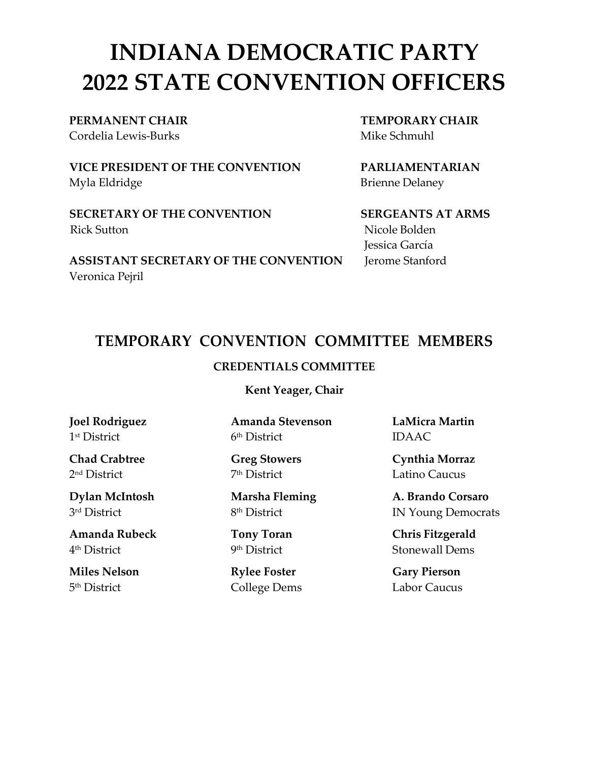# **INDIANA DEMOCRATIC PARTY 2022 STATE CONVENTION OFFICERS**

Cordelia Lewis-Burks Mike Schmuhl and The Schmuhl Mike Schmuhl

**VICE PRESIDENT OF THE CONVENTION PARLIAMENTARIAN** Myla Eldridge Brienne Delaney

**SECRETARY OF THE CONVENTION SERGEANTS AT ARMS** Rick Sutton Nicole Bolden

**ASSISTANT SECRETARY OF THE CONVENTION** Jerome Stanford Veronica Pejril

**PERMANENT CHAIR TEMPORARY CHAIR**

Jessica García

## **TEMPORARY CONVENTION COMMITTEE MEMBERS**

### **CREDENTIALS COMMITTEE**

**Kent Yeager, Chair**

**Joel Rodriguez** 1st District

**Chad Crabtree** 2nd District

**Dylan McIntosh** 3rd District

**Amanda Rubeck** 4th District

**Miles Nelson** 5th District

**Amanda Stevenson** 6th District

**Greg Stowers** 7th District

**Marsha Fleming** 8th District

**Tony Toran** 9th District

**Rylee Foster** College Dems **LaMicra Martin** IDAAC

**Cynthia Morraz** Latino Caucus

**A. Brando Corsaro** IN Young Democrats

**Chris Fitzgerald** Stonewall Dems

**Gary Pierson** Labor Caucus